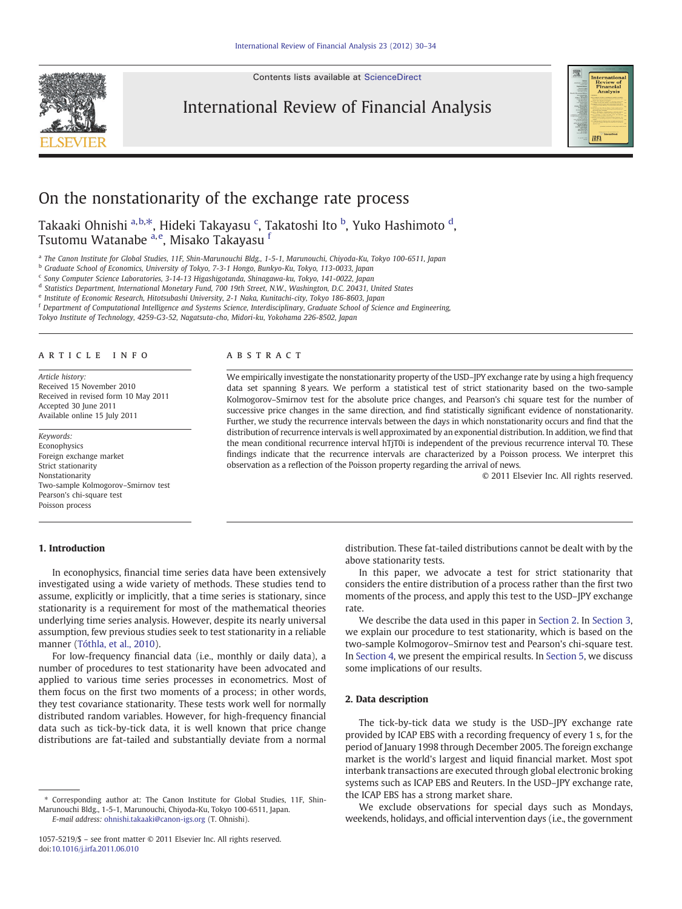Contents lists available at [ScienceDirect](http://www.sciencedirect.com/science/journal/10575219)



International Review of Financial Analysis



## On the nonstationarity of the exchange rate process

Takaaki Ohnishi <sup>a,b,\*</sup>, Hideki Takayasu <sup>c</sup>, Takatoshi Ito <sup>b</sup>, Yuko Hashimoto <sup>d</sup>, Tsutomu Watanabe <sup>a,e</sup>, Misako Takayasu <sup>f</sup>

a The Canon Institute for Global Studies, 11F, Shin-Marunouchi Bldg., 1-5-1, Marunouchi, Chiyoda-Ku, Tokyo 100-6511, Japan

<sup>b</sup> Graduate School of Economics, University of Tokyo, 7-3-1 Hongo, Bunkyo-Ku, Tokyo, 113-0033, Japan

<sup>c</sup> Sony Computer Science Laboratories, 3-14-13 Higashigotanda, Shinagawa-ku, Tokyo, 141-0022, Japan

<sup>d</sup> Statistics Department, International Monetary Fund, 700 19th Street, N.W., Washington, D.C. 20431, United States

<sup>e</sup> Institute of Economic Research, Hitotsubashi University, 2-1 Naka, Kunitachi-city, Tokyo 186-8603, Japan

<sup>f</sup> Department of Computational Intelligence and Systems Science, Interdisciplinary, Graduate School of Science and Engineering,

Tokyo Institute of Technology, 4259-G3-52, Nagatsuta-cho, Midori-ku, Yokohama 226-8502, Japan

### article info abstract

Article history: Received 15 November 2010 Received in revised form 10 May 2011 Accepted 30 June 2011 Available online 15 July 2011

Keywords: **Econophysics** Foreign exchange market Strict stationarity Nonstationarity Two-sample Kolmogorov–Smirnov test Pearson's chi-square test Poisson process

### 1. Introduction

We empirically investigate the nonstationarity property of the USD–JPY exchange rate by using a high frequency data set spanning 8 years. We perform a statistical test of strict stationarity based on the two-sample Kolmogorov–Smirnov test for the absolute price changes, and Pearson's chi square test for the number of successive price changes in the same direction, and find statistically significant evidence of nonstationarity. Further, we study the recurrence intervals between the days in which nonstationarity occurs and find that the distribution of recurrence intervals is well approximated by an exponential distribution. In addition, we find that the mean conditional recurrence interval hTjT0i is independent of the previous recurrence interval T0. These findings indicate that the recurrence intervals are characterized by a Poisson process. We interpret this observation as a reflection of the Poisson property regarding the arrival of news.

© 2011 Elsevier Inc. All rights reserved.

above stationarity tests. In this paper, we advocate a test for strict stationarity that considers the entire distribution of a process rather than the first two

moments of the process, and apply this test to the USD–JPY exchange rate. We describe the data used in this paper in Section 2. In [Section 3,](#page-1-0)

distribution. These fat-tailed distributions cannot be dealt with by the

we explain our procedure to test stationarity, which is based on the two-sample Kolmogorov–Smirnov test and Pearson's chi-square test. In [Section 4,](#page--1-0) we present the empirical results. In [Section 5](#page--1-0), we discuss some implications of our results.

### 2. Data description

The tick-by-tick data we study is the USD–JPY exchange rate provided by ICAP EBS with a recording frequency of every 1 s, for the period of January 1998 through December 2005. The foreign exchange market is the world's largest and liquid financial market. Most spot interbank transactions are executed through global electronic broking systems such as ICAP EBS and Reuters. In the USD–JPY exchange rate, the ICAP EBS has a strong market share.

We exclude observations for special days such as Mondays, weekends, holidays, and official intervention days (i.e., the government

In econophysics, financial time series data have been extensively investigated using a wide variety of methods. These studies tend to assume, explicitly or implicitly, that a time series is stationary, since stationarity is a requirement for most of the mathematical theories underlying time series analysis. However, despite its nearly universal assumption, few previous studies seek to test stationarity in a reliable manner [\(Tóthla, et al., 2010](#page--1-0)).

For low-frequency financial data (i.e., monthly or daily data), a number of procedures to test stationarity have been advocated and applied to various time series processes in econometrics. Most of them focus on the first two moments of a process; in other words, they test covariance stationarity. These tests work well for normally distributed random variables. However, for high-frequency financial data such as tick-by-tick data, it is well known that price change distributions are fat-tailed and substantially deviate from a normal

<sup>⁎</sup> Corresponding author at: The Canon Institute for Global Studies, 11F, Shin-Marunouchi Bldg., 1-5-1, Marunouchi, Chiyoda-Ku, Tokyo 100-6511, Japan. E-mail address: [ohnishi.takaaki@canon-igs.org](mailto:ohnishi.takaaki@canon-igs.org) (T. Ohnishi).

<sup>1057-5219/\$</sup> – see front matter © 2011 Elsevier Inc. All rights reserved. doi[:10.1016/j.irfa.2011.06.010](http://dx.doi.org/10.1016/j.irfa.2011.06.010)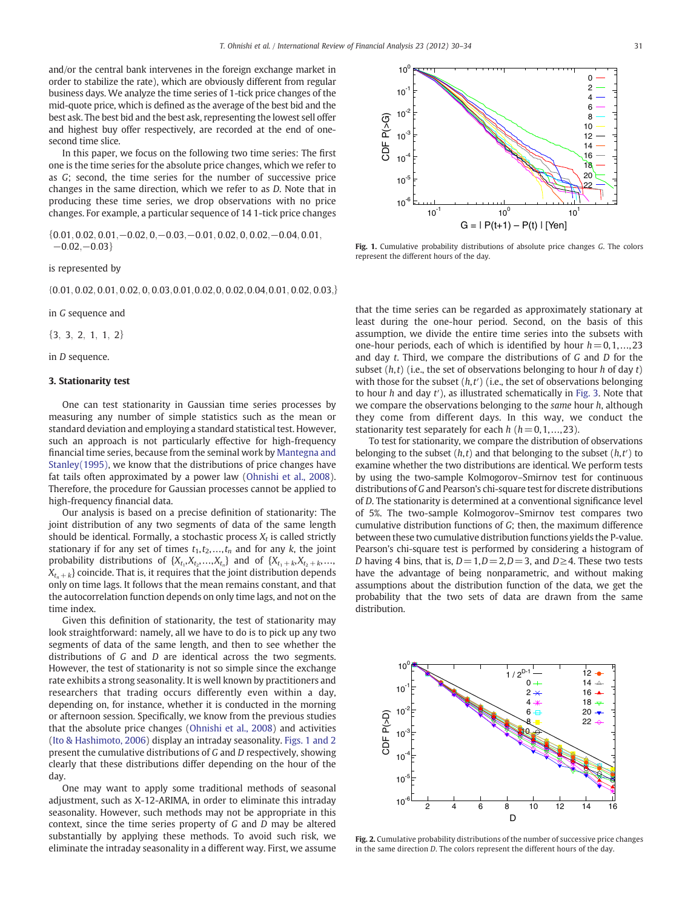<span id="page-1-0"></span>and/or the central bank intervenes in the foreign exchange market in order to stabilize the rate), which are obviously different from regular business days. We analyze the time series of 1-tick price changes of the mid-quote price, which is defined as the average of the best bid and the best ask. The best bid and the best ask, representing the lowest sell offer and highest buy offer respectively, are recorded at the end of onesecond time slice.

In this paper, we focus on the following two time series: The first one is the time series for the absolute price changes, which we refer to as G; second, the time series for the number of successive price changes in the same direction, which we refer to as D. Note that in producing these time series, we drop observations with no price changes. For example, a particular sequence of 14 1-tick price changes

 $\{0.01, 0.02, 0.01, -0.02, 0, -0.03, -0.01, 0.02, 0, 0.02, -0.04, 0.01,$  $-0.02,-0.03$ }

is represented by

 $\{0.01, 0.02, 0.01, 0.02, 0, 0.03, 0.01, 0.02, 0, 0.02, 0.04, 0.01, 0.02, 0.03, \}$ 

in G sequence and

 $\{3, 3, 2, 1, 1, 2\}$ 

in D sequence.

### 3. Stationarity test

One can test stationarity in Gaussian time series processes by measuring any number of simple statistics such as the mean or standard deviation and employing a standard statistical test. However, such an approach is not particularly effective for high-frequency financial time series, because from the seminal work by [Mantegna and](#page--1-0) [Stanley\(1995\)](#page--1-0), we know that the distributions of price changes have fat tails often approximated by a power law [\(Ohnishi et al., 2008](#page--1-0)). Therefore, the procedure for Gaussian processes cannot be applied to high-frequency financial data.

Our analysis is based on a precise definition of stationarity: The joint distribution of any two segments of data of the same length should be identical. Formally, a stochastic process  $X_t$  is called strictly stationary if for any set of times  $t_1, t_2, ..., t_n$  and for any k, the joint probability distributions of  $\{X_{t_1}, X_{t_2},...,X_{t_n}\}$  and of  $\{X_{t_1+k}, X_{t_2+k},...,X_{t_n}\}$  $X_{t_{n}+k}$  coincide. That is, it requires that the joint distribution depends only on time lags. It follows that the mean remains constant, and that the autocorrelation function depends on only time lags, and not on the time index.

Given this definition of stationarity, the test of stationarity may look straightforward: namely, all we have to do is to pick up any two segments of data of the same length, and then to see whether the distributions of G and D are identical across the two segments. However, the test of stationarity is not so simple since the exchange rate exhibits a strong seasonality. It is well known by practitioners and researchers that trading occurs differently even within a day, depending on, for instance, whether it is conducted in the morning or afternoon session. Specifically, we know from the previous studies that the absolute price changes ([Ohnishi et al., 2008](#page--1-0)) and activities [\(Ito & Hashimoto, 2006](#page--1-0)) display an intraday seasonality. Figs. 1 and 2 present the cumulative distributions of G and D respectively, showing clearly that these distributions differ depending on the hour of the day.

One may want to apply some traditional methods of seasonal adjustment, such as X-12-ARIMA, in order to eliminate this intraday seasonality. However, such methods may not be appropriate in this context, since the time series property of G and D may be altered substantially by applying these methods. To avoid such risk, we eliminate the intraday seasonality in a different way. First, we assume



Fig. 1. Cumulative probability distributions of absolute price changes G. The colors represent the different hours of the day.

that the time series can be regarded as approximately stationary at least during the one-hour period. Second, on the basis of this assumption, we divide the entire time series into the subsets with one-hour periods, each of which is identified by hour  $h = 0, 1, \ldots, 23$ and day t. Third, we compare the distributions of G and D for the subset  $(h,t)$  (i.e., the set of observations belonging to hour h of day t) with those for the subset  $(h,t')$  (i.e., the set of observations belonging to hour  $h$  and day  $t'$ ), as illustrated schematically in [Fig. 3.](#page--1-0) Note that we compare the observations belonging to the same hour  $h$ , although they come from different days. In this way, we conduct the stationarity test separately for each  $h$  ( $h = 0, 1, \ldots, 23$ ).

To test for stationarity, we compare the distribution of observations belonging to the subset  $(h,t)$  and that belonging to the subset  $(h,t')$  to examine whether the two distributions are identical. We perform tests by using the two-sample Kolmogorov–Smirnov test for continuous distributions of G and Pearson's chi-square test for discrete distributions of D. The stationarity is determined at a conventional significance level of 5%. The two-sample Kolmogorov–Smirnov test compares two cumulative distribution functions of G; then, the maximum difference between these two cumulative distribution functions yields the P-value. Pearson's chi-square test is performed by considering a histogram of D having 4 bins, that is,  $D=1, D=2, D=3$ , and  $D\geq 4$ . These two tests have the advantage of being nonparametric, and without making assumptions about the distribution function of the data, we get the probability that the two sets of data are drawn from the same distribution.



Fig. 2. Cumulative probability distributions of the number of successive price changes in the same direction D. The colors represent the different hours of the day.